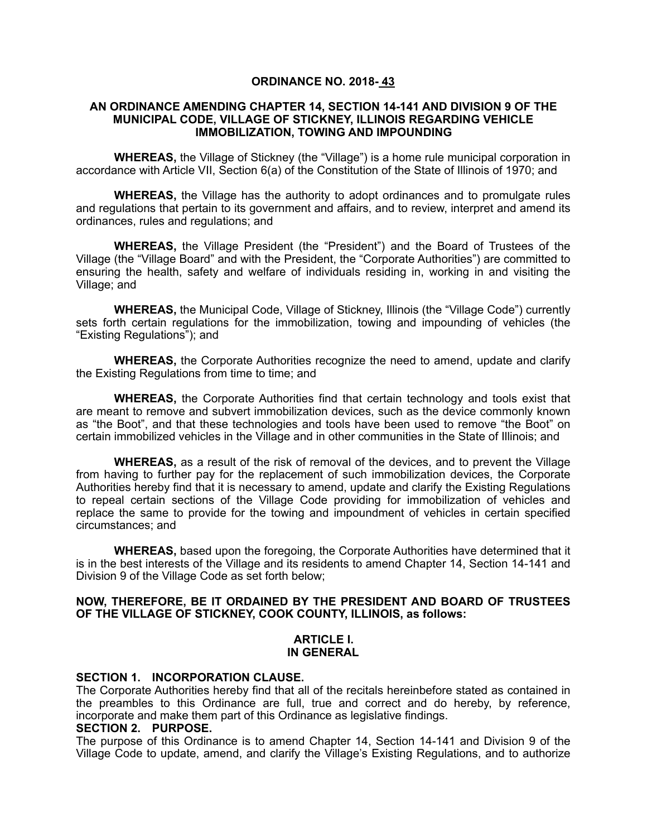# **ORDINANCE NO. 2018- 43**

#### **AN ORDINANCE AMENDING CHAPTER 14, SECTION 14-141 AND DIVISION 9 OF THE MUNICIPAL CODE, VILLAGE OF STICKNEY, ILLINOIS REGARDING VEHICLE IMMOBILIZATION, TOWING AND IMPOUNDING**

**WHEREAS,** the Village of Stickney (the "Village") is a home rule municipal corporation in accordance with Article VII, Section 6(a) of the Constitution of the State of Illinois of 1970; and

**WHEREAS,** the Village has the authority to adopt ordinances and to promulgate rules and regulations that pertain to its government and affairs, and to review, interpret and amend its ordinances, rules and regulations; and

**WHEREAS,** the Village President (the "President") and the Board of Trustees of the Village (the "Village Board" and with the President, the "Corporate Authorities") are committed to ensuring the health, safety and welfare of individuals residing in, working in and visiting the Village; and

**WHEREAS,** the Municipal Code, Village of Stickney, Illinois (the "Village Code") currently sets forth certain regulations for the immobilization, towing and impounding of vehicles (the "Existing Regulations"); and

**WHEREAS,** the Corporate Authorities recognize the need to amend, update and clarify the Existing Regulations from time to time; and

**WHEREAS,** the Corporate Authorities find that certain technology and tools exist that are meant to remove and subvert immobilization devices, such as the device commonly known as "the Boot", and that these technologies and tools have been used to remove "the Boot" on certain immobilized vehicles in the Village and in other communities in the State of Illinois; and

**WHEREAS,** as a result of the risk of removal of the devices, and to prevent the Village from having to further pay for the replacement of such immobilization devices, the Corporate Authorities hereby find that it is necessary to amend, update and clarify the Existing Regulations to repeal certain sections of the Village Code providing for immobilization of vehicles and replace the same to provide for the towing and impoundment of vehicles in certain specified circumstances; and

**WHEREAS,** based upon the foregoing, the Corporate Authorities have determined that it is in the best interests of the Village and its residents to amend Chapter 14, Section 14-141 and Division 9 of the Village Code as set forth below;

## **NOW, THEREFORE, BE IT ORDAINED BY THE PRESIDENT AND BOARD OF TRUSTEES OF THE VILLAGE OF STICKNEY, COOK COUNTY, ILLINOIS, as follows:**

#### **ARTICLE I. IN GENERAL**

#### **SECTION 1. INCORPORATION CLAUSE.**

The Corporate Authorities hereby find that all of the recitals hereinbefore stated as contained in the preambles to this Ordinance are full, true and correct and do hereby, by reference, incorporate and make them part of this Ordinance as legislative findings.

#### **SECTION 2. PURPOSE.**

The purpose of this Ordinance is to amend Chapter 14, Section 14-141 and Division 9 of the Village Code to update, amend, and clarify the Village's Existing Regulations, and to authorize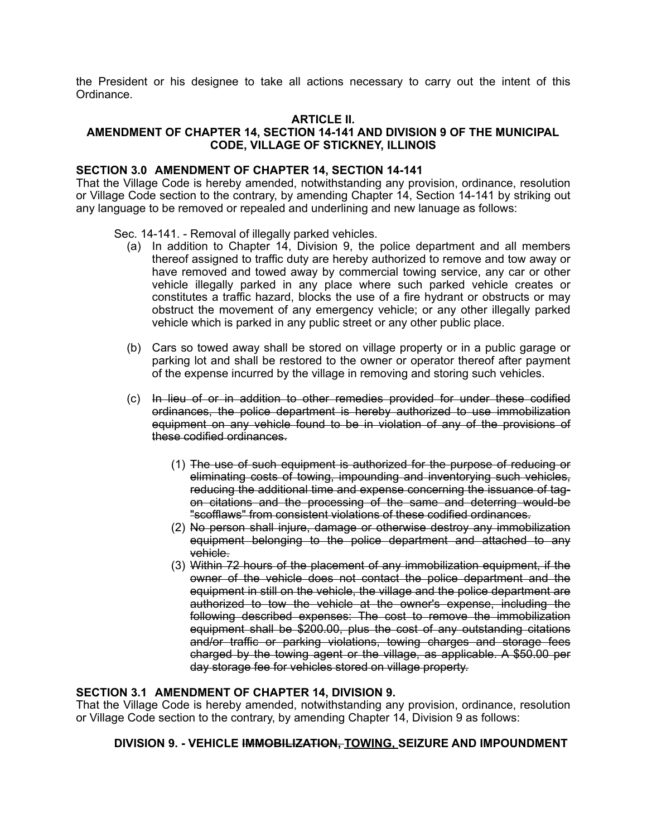the President or his designee to take all actions necessary to carry out the intent of this Ordinance.

# **ARTICLE II.**

# **AMENDMENT OF CHAPTER 14, SECTION 14-141 AND DIVISION 9 OF THE MUNICIPAL CODE, VILLAGE OF STICKNEY, ILLINOIS**

#### **SECTION 3.0 AMENDMENT OF CHAPTER 14, SECTION 14-141**

That the Village Code is hereby amended, notwithstanding any provision, ordinance, resolution or Village Code section to the contrary, by amending Chapter 14, Section 14-141 by striking out any language to be removed or repealed and underlining and new lanuage as follows:

Sec. 14-141. - Removal of illegally parked vehicles.

- (a) In addition to Chapter 14, Division 9, the police department and all members thereof assigned to traffic duty are hereby authorized to remove and tow away or have removed and towed away by commercial towing service, any car or other vehicle illegally parked in any place where such parked vehicle creates or constitutes a traffic hazard, blocks the use of a fire hydrant or obstructs or may obstruct the movement of any emergency vehicle; or any other illegally parked vehicle which is parked in any public street or any other public place.
- (b) Cars so towed away shall be stored on village property or in a public garage or parking lot and shall be restored to the owner or operator thereof after payment of the expense incurred by the village in removing and storing such vehicles.
- (c) In lieu of or in addition to other remedies provided for under these codified ordinances, the police department is hereby authorized to use immobilization equipment on any vehicle found to be in violation of any of the provisions of these codified ordinances.
	- (1) The use of such equipment is authorized for the purpose of reducing or eliminating costs of towing, impounding and inventorying such vehicles, reducing the additional time and expense concerning the issuance of tagon citations and the processing of the same and deterring would-be "scofflaws" from consistent violations of these codified ordinances.
	- (2) No person shall injure, damage or otherwise destroy any immobilization equipment belonging to the police department and attached to any vehicle.
	- (3) Within 72 hours of the placement of any immobilization equipment, if the owner of the vehicle does not contact the police department and the equipment in still on the vehicle, the village and the police department are authorized to tow the vehicle at the owner's expense, including the following described expenses: The cost to remove the immobilization equipment shall be \$200.00, plus the cost of any outstanding citations and/or traffic or parking violations, towing charges and storage fees charged by the towing agent or the village, as applicable. A \$50.00 per day storage fee for vehicles stored on village property.

## **SECTION 3.1 AMENDMENT OF CHAPTER 14, DIVISION 9.**

That the Village Code is hereby amended, notwithstanding any provision, ordinance, resolution or Village Code section to the contrary, by amending Chapter 14, Division 9 as follows:

## **DIVISION 9. - VEHICLE IMMOBILIZATION, TOWING, SEIZURE AND IMPOUNDMENT**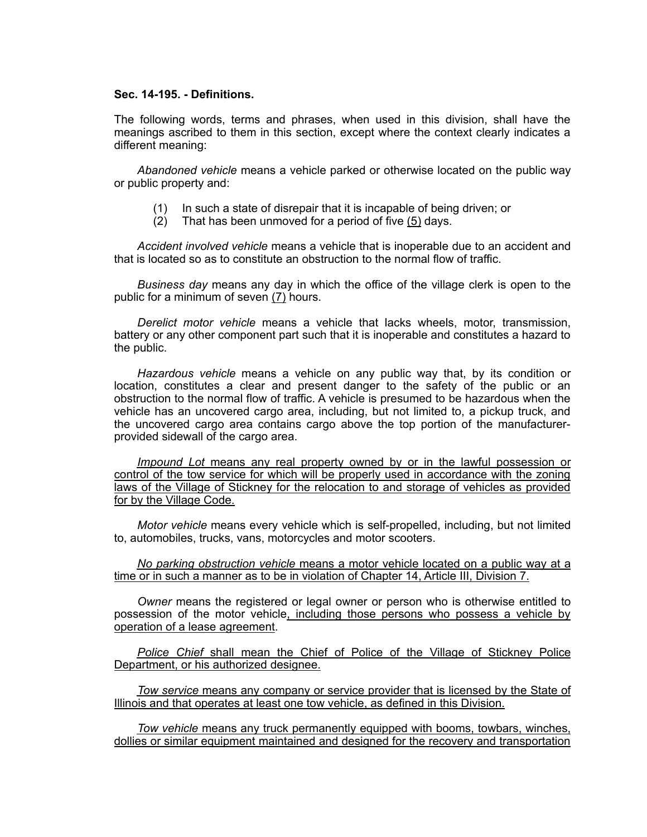## **Sec. 14-195. - Definitions.**

The following words, terms and phrases, when used in this division, shall have the meanings ascribed to them in this section, except where the context clearly indicates a different meaning:

*Abandoned vehicle* means a vehicle parked or otherwise located on the public way or public property and:

- (1) In such a state of disrepair that it is incapable of being driven; or
- (2) That has been unmoved for a period of five (5) days.

*Accident involved vehicle* means a vehicle that is inoperable due to an accident and that is located so as to constitute an obstruction to the normal flow of traffic.

*Business day* means any day in which the office of the village clerk is open to the public for a minimum of seven (7) hours.

*Derelict motor vehicle* means a vehicle that lacks wheels, motor, transmission, battery or any other component part such that it is inoperable and constitutes a hazard to the public.

*Hazardous vehicle* means a vehicle on any public way that, by its condition or location, constitutes a clear and present danger to the safety of the public or an obstruction to the normal flow of traffic. A vehicle is presumed to be hazardous when the vehicle has an uncovered cargo area, including, but not limited to, a pickup truck, and the uncovered cargo area contains cargo above the top portion of the manufacturerprovided sidewall of the cargo area.

*Impound Lot* means any real property owned by or in the lawful possession or control of the tow service for which will be properly used in accordance with the zoning laws of the Village of Stickney for the relocation to and storage of vehicles as provided for by the Village Code.

*Motor vehicle* means every vehicle which is self-propelled, including, but not limited to, automobiles, trucks, vans, motorcycles and motor scooters.

*No parking obstruction vehicle* means a motor vehicle located on a public way at a time or in such a manner as to be in violation of Chapter 14, Article III, Division 7.

*Owner* means the registered or legal owner or person who is otherwise entitled to possession of the motor vehicle, including those persons who possess a vehicle by operation of a lease agreement.

*Police Chief* shall mean the Chief of Police of the Village of Stickney Police Department, or his authorized designee.

*Tow service* means any company or service provider that is licensed by the State of Illinois and that operates at least one tow vehicle, as defined in this Division.

*Tow vehicle* means any truck permanently equipped with booms, towbars, winches, dollies or similar equipment maintained and designed for the recovery and transportation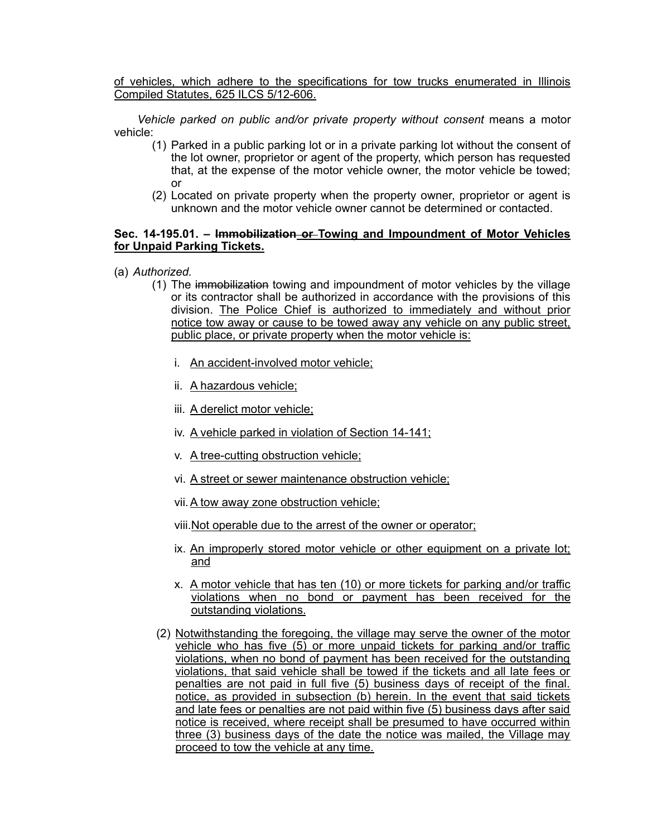of vehicles, which adhere to the specifications for tow trucks enumerated in Illinois Compiled Statutes, 625 ILCS 5/12-606.

*Vehicle parked on public and/or private property without consent* means a motor vehicle:

- (1) Parked in a public parking lot or in a private parking lot without the consent of the lot owner, proprietor or agent of the property, which person has requested that, at the expense of the motor vehicle owner, the motor vehicle be towed; or
- (2) Located on private property when the property owner, proprietor or agent is unknown and the motor vehicle owner cannot be determined or contacted.

## **Sec. 14-195.01. – Immobilization or Towing and Impoundment of Motor Vehicles for Unpaid Parking Tickets.**

- (a) *Authorized.*
	- (1) The immobilization towing and impoundment of motor vehicles by the village or its contractor shall be authorized in accordance with the provisions of this division. The Police Chief is authorized to immediately and without prior notice tow away or cause to be towed away any vehicle on any public street, public place, or private property when the motor vehicle is:
		- i. An accident-involved motor vehicle;
		- ii. A hazardous vehicle;
		- iii. A derelict motor vehicle;
		- iv. A vehicle parked in violation of Section 14-141;
		- v. A tree-cutting obstruction vehicle;
		- vi. A street or sewer maintenance obstruction vehicle;
		- vii.A tow away zone obstruction vehicle;
		- viii.Not operable due to the arrest of the owner or operator;
		- ix. An improperly stored motor vehicle or other equipment on a private lot; and
		- x. A motor vehicle that has ten (10) or more tickets for parking and/or traffic violations when no bond or payment has been received for the outstanding violations.
	- (2) Notwithstanding the foregoing, the village may serve the owner of the motor vehicle who has five (5) or more unpaid tickets for parking and/or traffic violations, when no bond of payment has been received for the outstanding violations, that said vehicle shall be towed if the tickets and all late fees or penalties are not paid in full five (5) business days of receipt of the final. notice, as provided in subsection (b) herein. In the event that said tickets and late fees or penalties are not paid within five (5) business days after said notice is received, where receipt shall be presumed to have occurred within three (3) business days of the date the notice was mailed, the Village may proceed to tow the vehicle at any time.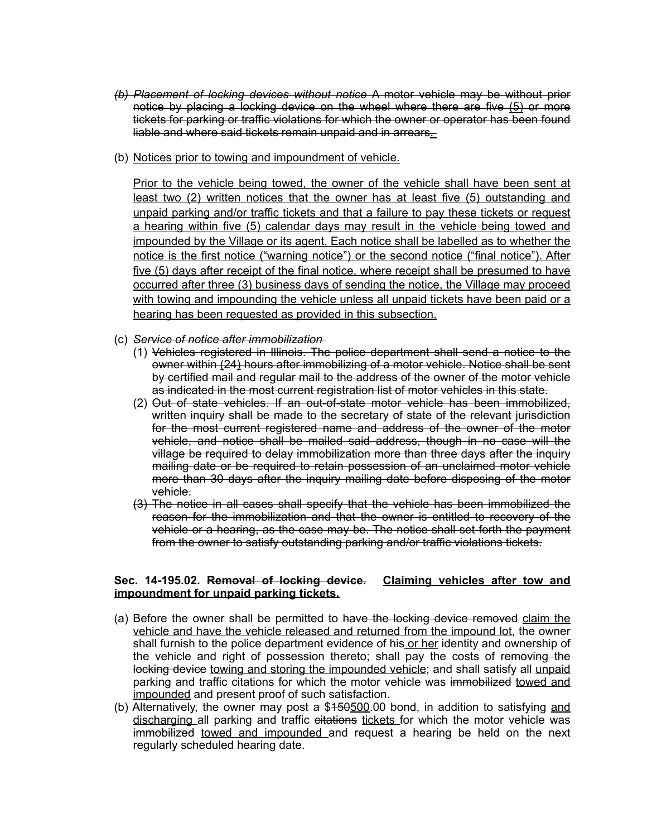- *(b) Placement of locking devices without notice* A motor vehicle may be without prior notice by placing a locking device on the wheel where there are five (5) or more tickets for parking or traffic violations for which the owner or operator has been found liable and where said tickets remain unpaid and in arrears.
- (b) Notices prior to towing and impoundment of vehicle.

Prior to the vehicle being towed, the owner of the vehicle shall have been sent at least two (2) written notices that the owner has at least five (5) outstanding and unpaid parking and/or traffic tickets and that a failure to pay these tickets or request a hearing within five (5) calendar days may result in the vehicle being towed and impounded by the Village or its agent. Each notice shall be labelled as to whether the notice is the first notice ("warning notice") or the second notice ("final notice"). After five (5) days after receipt of the final notice, where receipt shall be presumed to have occurred after three (3) business days of sending the notice, the Village may proceed with towing and impounding the vehicle unless all unpaid tickets have been paid or a hearing has been requested as provided in this subsection.

- (c) *Service of notice after immobilization* 
	- (1) Vehicles registered in Illinois. The police department shall send a notice to the owner within (24) hours after immobilizing of a motor vehicle. Notice shall be sent by certified mail and regular mail to the address of the owner of the motor vehicle as indicated in the most current registration list of motor vehicles in this state.
	- (2) Out of state vehicles. If an out-of-state motor vehicle has been immobilized, written inquiry shall be made to the secretary of state of the relevant jurisdiction for the most current registered name and address of the owner of the motor vehicle, and notice shall be mailed said address, though in no case will the village be required to delay immobilization more than three days after the inquiry mailing date or be required to retain possession of an unclaimed motor vehicle more than 30 days after the inquiry mailing date before disposing of the motor vehicle.
	- (3) The notice in all cases shall specify that the vehicle has been immobilized the reason for the immobilization and that the owner is entitled to recovery of the vehicle or a hearing, as the case may be. The notice shall set forth the payment from the owner to satisfy outstanding parking and/or traffic violations tickets.

## **Sec. 14-195.02. Removal of locking device. Claiming vehicles after tow and impoundment for unpaid parking tickets.**

- (a) Before the owner shall be permitted to have the locking device removed claim the vehicle and have the vehicle released and returned from the impound lot, the owner shall furnish to the police department evidence of his or her identity and ownership of the vehicle and right of possession thereto; shall pay the costs of removing the locking device towing and storing the impounded vehicle; and shall satisfy all unpaid parking and traffic citations for which the motor vehicle was immobilized towed and impounded and present proof of such satisfaction.
- (b) Alternatively, the owner may post a \$150500.00 bond, in addition to satisfying and discharging all parking and traffic citations tickets for which the motor vehicle was immobilized towed and impounded and request a hearing be held on the next regularly scheduled hearing date.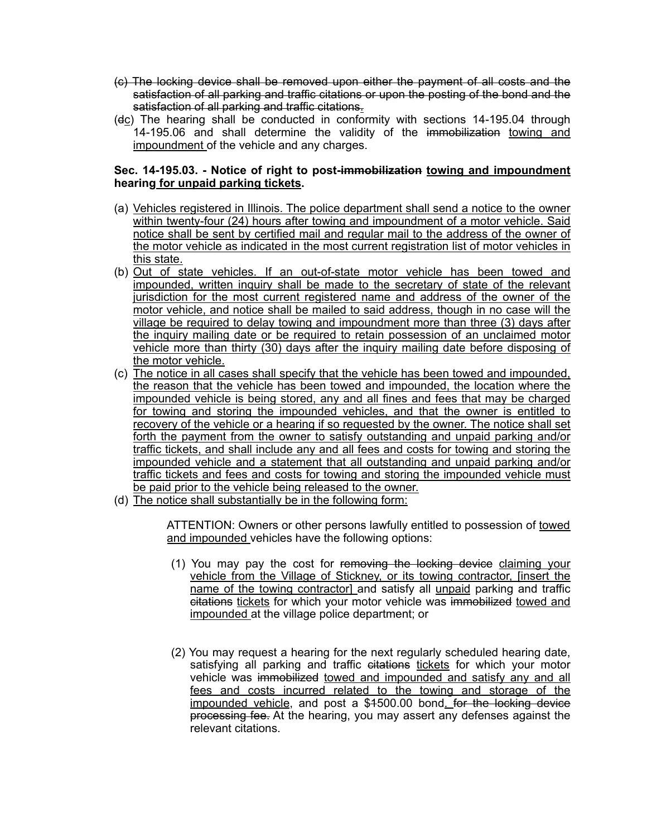- (c) The locking device shall be removed upon either the payment of all costs and the satisfaction of all parking and traffic citations or upon the posting of the bond and the satisfaction of all parking and traffic citations.
- (dc) The hearing shall be conducted in conformity with sections 14-195.04 through 14-195.06 and shall determine the validity of the immobilization towing and impoundment of the vehicle and any charges.

# **Sec. 14-195.03. - Notice of right to post-immobilization towing and impoundment hearing for unpaid parking tickets.**

- (a) Vehicles registered in Illinois. The police department shall send a notice to the owner within twenty-four (24) hours after towing and impoundment of a motor vehicle. Said notice shall be sent by certified mail and regular mail to the address of the owner of the motor vehicle as indicated in the most current registration list of motor vehicles in this state.
- (b) Out of state vehicles. If an out-of-state motor vehicle has been towed and impounded, written inquiry shall be made to the secretary of state of the relevant jurisdiction for the most current registered name and address of the owner of the motor vehicle, and notice shall be mailed to said address, though in no case will the village be required to delay towing and impoundment more than three (3) days after the inquiry mailing date or be required to retain possession of an unclaimed motor vehicle more than thirty (30) days after the inquiry mailing date before disposing of the motor vehicle.
- (c) The notice in all cases shall specify that the vehicle has been towed and impounded, the reason that the vehicle has been towed and impounded, the location where the impounded vehicle is being stored, any and all fines and fees that may be charged for towing and storing the impounded vehicles, and that the owner is entitled to recovery of the vehicle or a hearing if so requested by the owner. The notice shall set forth the payment from the owner to satisfy outstanding and unpaid parking and/or traffic tickets, and shall include any and all fees and costs for towing and storing the impounded vehicle and a statement that all outstanding and unpaid parking and/or traffic tickets and fees and costs for towing and storing the impounded vehicle must be paid prior to the vehicle being released to the owner.
- (d) The notice shall substantially be in the following form:

ATTENTION: Owners or other persons lawfully entitled to possession of towed and impounded vehicles have the following options:

- (1) You may pay the cost for removing the locking device claiming your vehicle from the Village of Stickney, or its towing contractor, [insert the name of the towing contractor] and satisfy all unpaid parking and traffic citations tickets for which your motor vehicle was immobilized towed and impounded at the village police department; or
- (2) You may request a hearing for the next regularly scheduled hearing date, satisfying all parking and traffic citations tickets for which your motor vehicle was immobilized towed and impounded and satisfy any and all fees and costs incurred related to the towing and storage of the impounded vehicle, and post a \$1500.00 bond. for the locking device processing fee. At the hearing, you may assert any defenses against the relevant citations.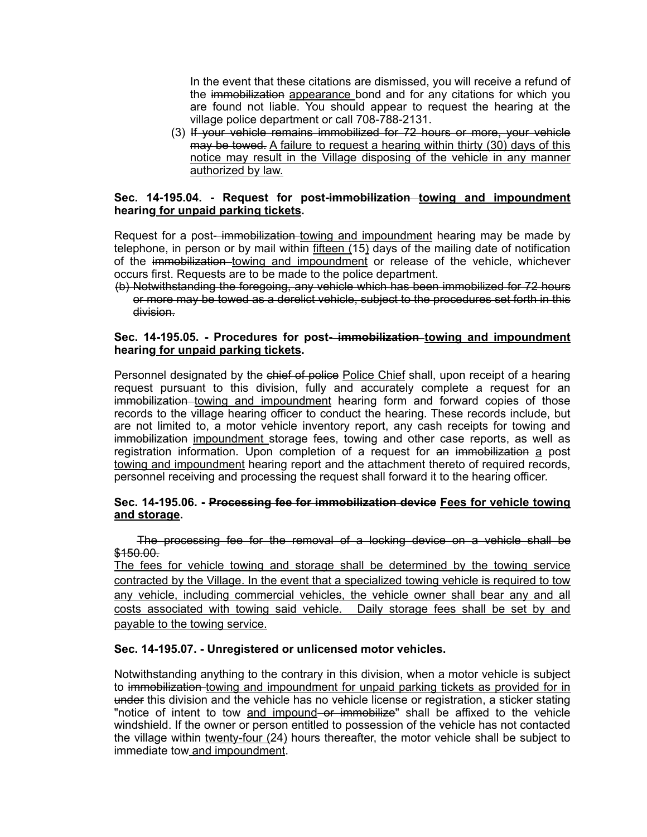In the event that these citations are dismissed, you will receive a refund of the immobilization appearance bond and for any citations for which you are found not liable. You should appear to request the hearing at the village police department or call 708-788-2131.

(3) If your vehicle remains immobilized for 72 hours or more, your vehicle may be towed. A failure to request a hearing within thirty (30) days of this notice may result in the Village disposing of the vehicle in any manner authorized by law.

# Sec. 14-195.04. - Request for post-immobilization towing and impoundment **hearing for unpaid parking tickets.**

Request for a post-immobilization towing and impoundment hearing may be made by telephone, in person or by mail within fifteen (15) days of the mailing date of notification of the immobilization towing and impoundment or release of the vehicle, whichever occurs first. Requests are to be made to the police department.

(b) Notwithstanding the foregoing, any vehicle which has been immobilized for 72 hours or more may be towed as a derelict vehicle, subject to the procedures set forth in this division.

## **Sec. 14-195.05. - Procedures for post- immobilization towing and impoundment hearing for unpaid parking tickets.**

Personnel designated by the chief of police Police Chief shall, upon receipt of a hearing request pursuant to this division, fully and accurately complete a request for an immobilization towing and impoundment hearing form and forward copies of those records to the village hearing officer to conduct the hearing. These records include, but are not limited to, a motor vehicle inventory report, any cash receipts for towing and immobilization impoundment storage fees, towing and other case reports, as well as registration information. Upon completion of a request for an immobilization a post towing and impoundment hearing report and the attachment thereto of required records, personnel receiving and processing the request shall forward it to the hearing officer.

## **Sec. 14-195.06. - Processing fee for immobilization device Fees for vehicle towing and storage.**

The processing fee for the removal of a locking device on a vehicle shall be \$150.00.

The fees for vehicle towing and storage shall be determined by the towing service contracted by the Village. In the event that a specialized towing vehicle is required to tow any vehicle, including commercial vehicles, the vehicle owner shall bear any and all costs associated with towing said vehicle. Daily storage fees shall be set by and payable to the towing service.

## **Sec. 14-195.07. - Unregistered or unlicensed motor vehicles.**

Notwithstanding anything to the contrary in this division, when a motor vehicle is subject to immobilization towing and impoundment for unpaid parking tickets as provided for in under this division and the vehicle has no vehicle license or registration, a sticker stating "notice of intent to tow and impound or immobilize" shall be affixed to the vehicle windshield. If the owner or person entitled to possession of the vehicle has not contacted the village within twenty-four (24) hours thereafter, the motor vehicle shall be subject to immediate tow and impoundment.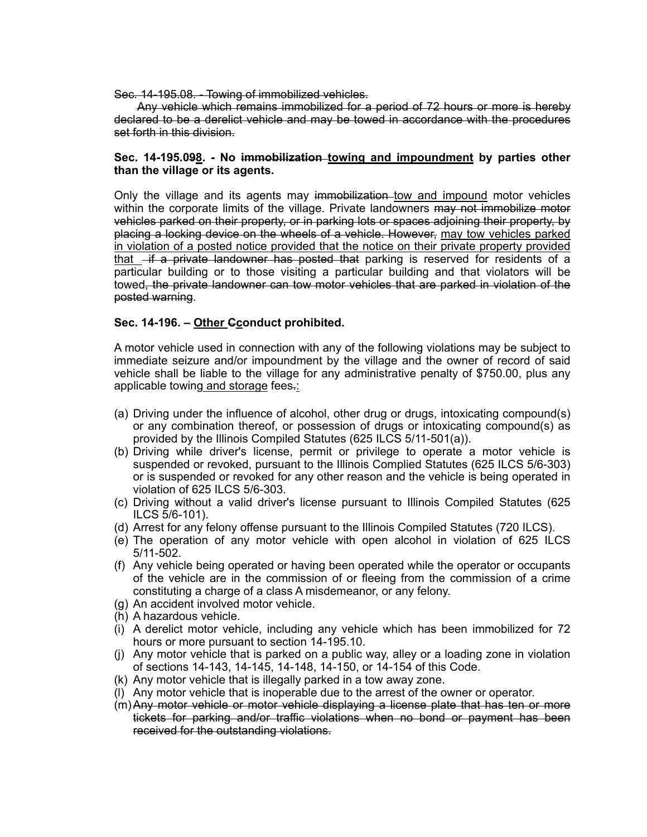Sec. 14-195.08. - Towing of immobilized vehicles.

Any vehicle which remains immobilized for a period of 72 hours or more is hereby declared to be a derelict vehicle and may be towed in accordance with the procedures set forth in this division.

## **Sec. 14-195.098. - No immobilization towing and impoundment by parties other than the village or its agents.**

Only the village and its agents may immobilization tow and impound motor vehicles within the corporate limits of the village. Private landowners may not immobilize motor vehicles parked on their property, or in parking lots or spaces adjoining their property, by placing a locking device on the wheels of a vehicle. However, may tow vehicles parked in violation of a posted notice provided that the notice on their private property provided that  $\overline{f}$  a private landowner has posted that parking is reserved for residents of a particular building or to those visiting a particular building and that violators will be towed, the private landowner can tow motor vehicles that are parked in violation of the posted warning.

# **Sec. 14-196. – Other Cconduct prohibited.**

A motor vehicle used in connection with any of the following violations may be subject to immediate seizure and/or impoundment by the village and the owner of record of said vehicle shall be liable to the village for any administrative penalty of \$750.00, plus any applicable towing and storage fees.:

- (a) Driving under the influence of alcohol, other drug or drugs, intoxicating compound(s) or any combination thereof, or possession of drugs or intoxicating compound(s) as provided by the Illinois Compiled Statutes (625 ILCS 5/11-501(a)).
- (b) Driving while driver's license, permit or privilege to operate a motor vehicle is suspended or revoked, pursuant to the Illinois Complied Statutes (625 ILCS 5/6-303) or is suspended or revoked for any other reason and the vehicle is being operated in violation of 625 ILCS 5/6-303.
- (c) Driving without a valid driver's license pursuant to Illinois Compiled Statutes (625 ILCS 5/6-101).
- (d) Arrest for any felony offense pursuant to the Illinois Compiled Statutes (720 ILCS).
- (e) The operation of any motor vehicle with open alcohol in violation of 625 ILCS 5/11-502.
- (f) Any vehicle being operated or having been operated while the operator or occupants of the vehicle are in the commission of or fleeing from the commission of a crime constituting a charge of a class A misdemeanor, or any felony.
- (g) An accident involved motor vehicle.
- (h) A hazardous vehicle.
- (i) A derelict motor vehicle, including any vehicle which has been immobilized for 72 hours or more pursuant to section 14-195.10.
- (j) Any motor vehicle that is parked on a public way, alley or a loading zone in violation of sections 14-143, 14-145, 14-148, 14-150, or 14-154 of this Code.
- (k) Any motor vehicle that is illegally parked in a tow away zone.
- (l) Any motor vehicle that is inoperable due to the arrest of the owner or operator.
- (m)Any motor vehicle or motor vehicle displaying a license plate that has ten or more tickets for parking and/or traffic violations when no bond or payment has been received for the outstanding violations.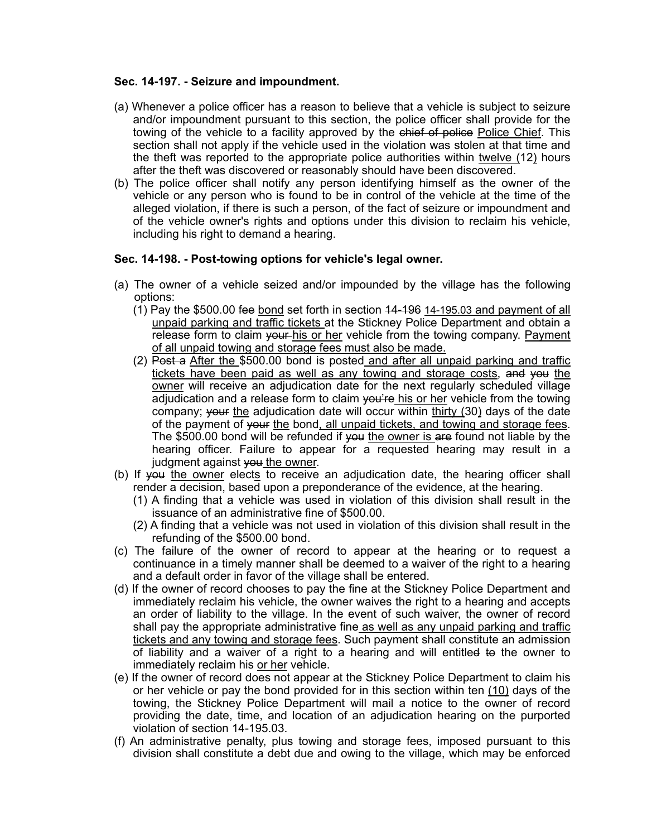# **Sec. 14-197. - Seizure and impoundment.**

- (a) Whenever a police officer has a reason to believe that a vehicle is subject to seizure and/or impoundment pursuant to this section, the police officer shall provide for the towing of the vehicle to a facility approved by the chief of police Police Chief. This section shall not apply if the vehicle used in the violation was stolen at that time and the theft was reported to the appropriate police authorities within twelve (12) hours after the theft was discovered or reasonably should have been discovered.
- (b) The police officer shall notify any person identifying himself as the owner of the vehicle or any person who is found to be in control of the vehicle at the time of the alleged violation, if there is such a person, of the fact of seizure or impoundment and of the vehicle owner's rights and options under this division to reclaim his vehicle, including his right to demand a hearing.

# **Sec. 14-198. - Post-towing options for vehicle's legal owner.**

- (a) The owner of a vehicle seized and/or impounded by the village has the following options:
	- (1) Pay the \$500.00 fee bond set forth in section 14-196 14-195.03 and payment of all unpaid parking and traffic tickets at the Stickney Police Department and obtain a release form to claim your his or her vehicle from the towing company. Payment of all unpaid towing and storage fees must also be made.
	- (2) Post a After the \$500.00 bond is posted and after all unpaid parking and traffic tickets have been paid as well as any towing and storage costs, and you the owner will receive an adjudication date for the next regularly scheduled village adjudication and a release form to claim  $\varphi$  wife his or her vehicle from the towing company; your the adjudication date will occur within thirty  $(30)$  days of the date of the payment of your the bond, all unpaid tickets, and towing and storage fees. The \$500.00 bond will be refunded if you the owner is are found not liable by the hearing officer. Failure to appear for a requested hearing may result in a judgment against you the owner.
- (b) If you the owner elects to receive an adjudication date, the hearing officer shall render a decision, based upon a preponderance of the evidence, at the hearing.
	- (1) A finding that a vehicle was used in violation of this division shall result in the issuance of an administrative fine of \$500.00.
	- (2) A finding that a vehicle was not used in violation of this division shall result in the refunding of the \$500.00 bond.
- (c) The failure of the owner of record to appear at the hearing or to request a continuance in a timely manner shall be deemed to a waiver of the right to a hearing and a default order in favor of the village shall be entered.
- (d) If the owner of record chooses to pay the fine at the Stickney Police Department and immediately reclaim his vehicle, the owner waives the right to a hearing and accepts an order of liability to the village. In the event of such waiver, the owner of record shall pay the appropriate administrative fine as well as any unpaid parking and traffic tickets and any towing and storage fees. Such payment shall constitute an admission of liability and a waiver of a right to a hearing and will entitled to the owner to immediately reclaim his or her vehicle.
- (e) If the owner of record does not appear at the Stickney Police Department to claim his or her vehicle or pay the bond provided for in this section within ten (10) days of the towing, the Stickney Police Department will mail a notice to the owner of record providing the date, time, and location of an adjudication hearing on the purported violation of section 14-195.03.
- (f) An administrative penalty, plus towing and storage fees, imposed pursuant to this division shall constitute a debt due and owing to the village, which may be enforced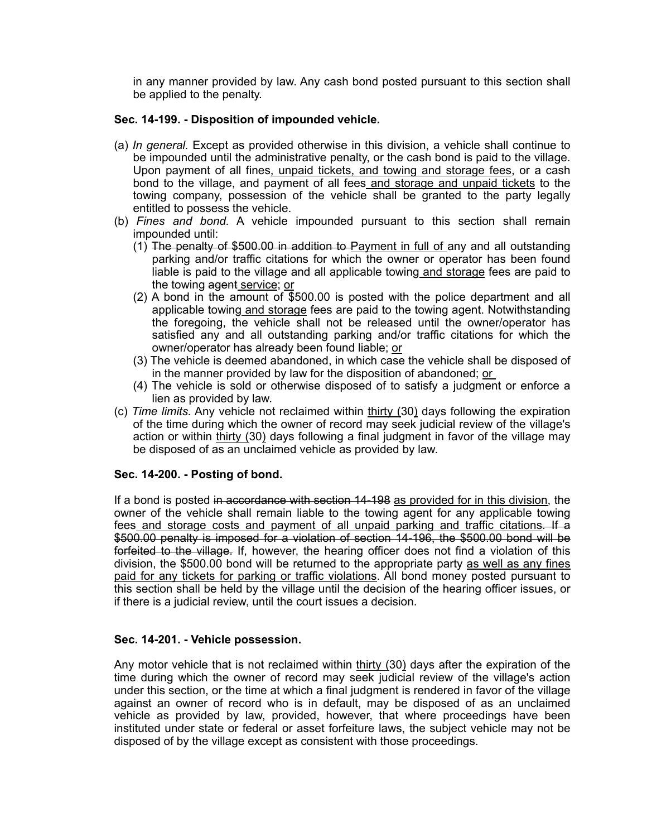in any manner provided by law. Any cash bond posted pursuant to this section shall be applied to the penalty.

# **Sec. 14-199. - Disposition of impounded vehicle.**

- (a) *In general.* Except as provided otherwise in this division, a vehicle shall continue to be impounded until the administrative penalty, or the cash bond is paid to the village. Upon payment of all fines, unpaid tickets, and towing and storage fees, or a cash bond to the village, and payment of all fees and storage and unpaid tickets to the towing company, possession of the vehicle shall be granted to the party legally entitled to possess the vehicle.
- (b) *Fines and bond.* A vehicle impounded pursuant to this section shall remain impounded until:
	- (1) The penalty of \$500.00 in addition to Payment in full of any and all outstanding parking and/or traffic citations for which the owner or operator has been found liable is paid to the village and all applicable towing and storage fees are paid to the towing agent service; or
	- (2) A bond in the amount of \$500.00 is posted with the police department and all applicable towing and storage fees are paid to the towing agent. Notwithstanding the foregoing, the vehicle shall not be released until the owner/operator has satisfied any and all outstanding parking and/or traffic citations for which the owner/operator has already been found liable; or
	- (3) The vehicle is deemed abandoned, in which case the vehicle shall be disposed of in the manner provided by law for the disposition of abandoned; or
	- (4) The vehicle is sold or otherwise disposed of to satisfy a judgment or enforce a lien as provided by law.
- (c) *Time limits.* Any vehicle not reclaimed within thirty (30) days following the expiration of the time during which the owner of record may seek judicial review of the village's action or within thirty (30) days following a final judgment in favor of the village may be disposed of as an unclaimed vehicle as provided by law.

## **Sec. 14-200. - Posting of bond.**

If a bond is posted in accordance with section 14-198 as provided for in this division, the owner of the vehicle shall remain liable to the towing agent for any applicable towing fees and storage costs and payment of all unpaid parking and traffic citations. If a \$500.00 penalty is imposed for a violation of section 14-196, the \$500.00 bond will be forfeited to the village. If, however, the hearing officer does not find a violation of this division, the \$500.00 bond will be returned to the appropriate party as well as any fines paid for any tickets for parking or traffic violations. All bond money posted pursuant to this section shall be held by the village until the decision of the hearing officer issues, or if there is a judicial review, until the court issues a decision.

## **Sec. 14-201. - Vehicle possession.**

Any motor vehicle that is not reclaimed within thirty (30) days after the expiration of the time during which the owner of record may seek judicial review of the village's action under this section, or the time at which a final judgment is rendered in favor of the village against an owner of record who is in default, may be disposed of as an unclaimed vehicle as provided by law, provided, however, that where proceedings have been instituted under state or federal or asset forfeiture laws, the subject vehicle may not be disposed of by the village except as consistent with those proceedings.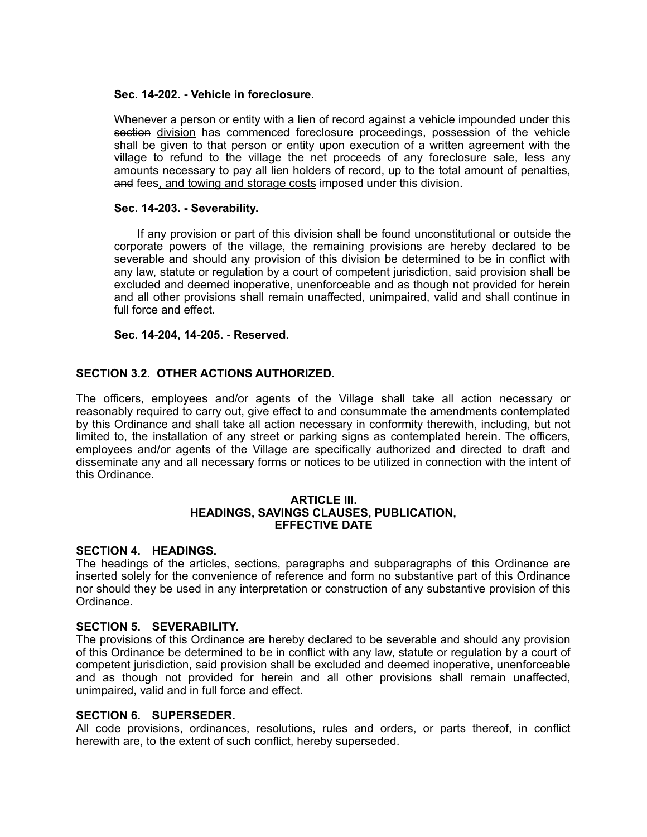#### **Sec. 14-202. - Vehicle in foreclosure.**

Whenever a person or entity with a lien of record against a vehicle impounded under this section division has commenced foreclosure proceedings, possession of the vehicle shall be given to that person or entity upon execution of a written agreement with the village to refund to the village the net proceeds of any foreclosure sale, less any amounts necessary to pay all lien holders of record, up to the total amount of penalties, and fees, and towing and storage costs imposed under this division.

#### **Sec. 14-203. - Severability.**

If any provision or part of this division shall be found unconstitutional or outside the corporate powers of the village, the remaining provisions are hereby declared to be severable and should any provision of this division be determined to be in conflict with any law, statute or regulation by a court of competent jurisdiction, said provision shall be excluded and deemed inoperative, unenforceable and as though not provided for herein and all other provisions shall remain unaffected, unimpaired, valid and shall continue in full force and effect.

#### **Sec. 14-204, 14-205. - Reserved.**

# **SECTION 3.2. OTHER ACTIONS AUTHORIZED.**

The officers, employees and/or agents of the Village shall take all action necessary or reasonably required to carry out, give effect to and consummate the amendments contemplated by this Ordinance and shall take all action necessary in conformity therewith, including, but not limited to, the installation of any street or parking signs as contemplated herein. The officers, employees and/or agents of the Village are specifically authorized and directed to draft and disseminate any and all necessary forms or notices to be utilized in connection with the intent of this Ordinance.

#### **ARTICLE III. HEADINGS, SAVINGS CLAUSES, PUBLICATION, EFFECTIVE DATE**

#### **SECTION 4. HEADINGS.**

The headings of the articles, sections, paragraphs and subparagraphs of this Ordinance are inserted solely for the convenience of reference and form no substantive part of this Ordinance nor should they be used in any interpretation or construction of any substantive provision of this Ordinance.

#### **SECTION 5. SEVERABILITY.**

The provisions of this Ordinance are hereby declared to be severable and should any provision of this Ordinance be determined to be in conflict with any law, statute or regulation by a court of competent jurisdiction, said provision shall be excluded and deemed inoperative, unenforceable and as though not provided for herein and all other provisions shall remain unaffected, unimpaired, valid and in full force and effect.

#### **SECTION 6. SUPERSEDER.**

All code provisions, ordinances, resolutions, rules and orders, or parts thereof, in conflict herewith are, to the extent of such conflict, hereby superseded.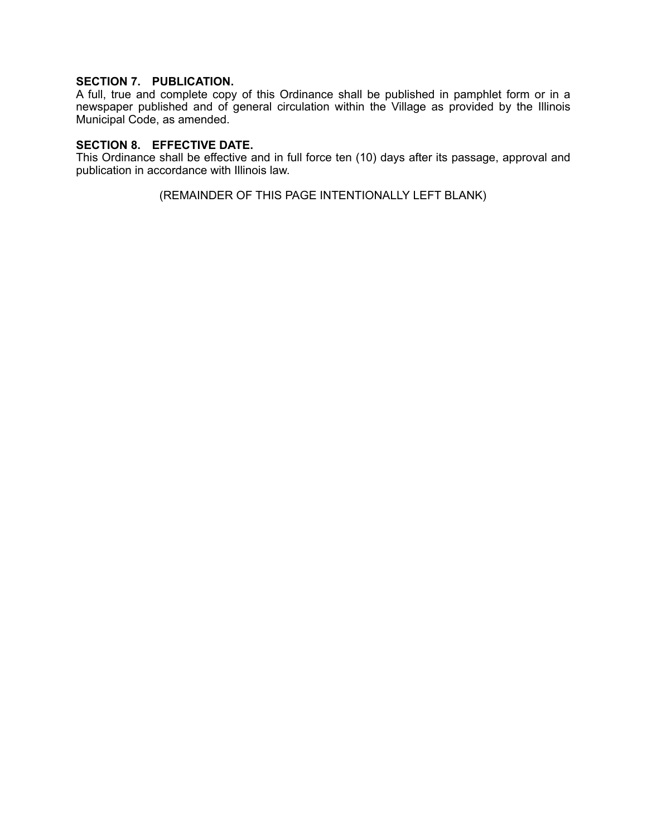# **SECTION 7. PUBLICATION.**

A full, true and complete copy of this Ordinance shall be published in pamphlet form or in a newspaper published and of general circulation within the Village as provided by the Illinois Municipal Code, as amended.

## **SECTION 8. EFFECTIVE DATE.**

This Ordinance shall be effective and in full force ten (10) days after its passage, approval and publication in accordance with Illinois law.

(REMAINDER OF THIS PAGE INTENTIONALLY LEFT BLANK)